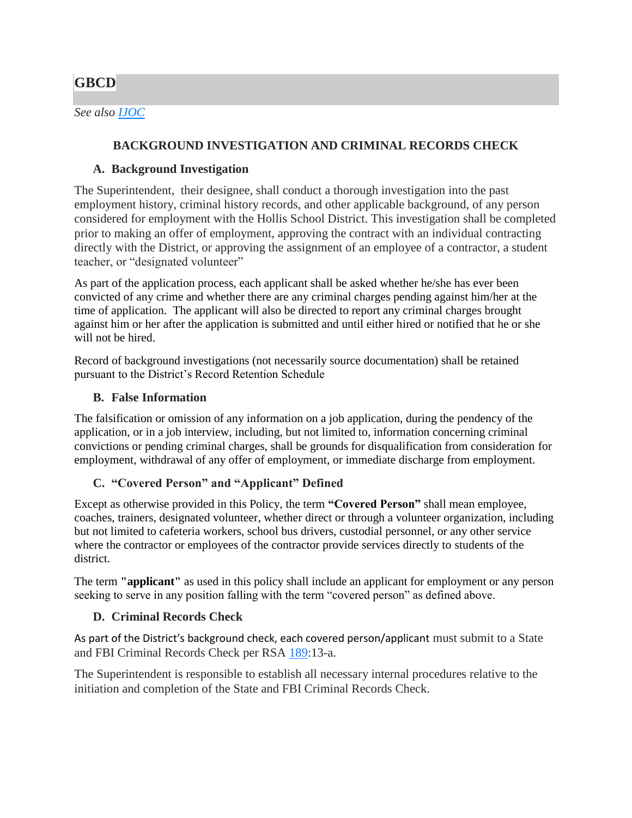# **GBCD**

## **BACKGROUND INVESTIGATION AND CRIMINAL RECORDS CHECK**

## **A. Background Investigation**

The Superintendent, their designee, shall conduct a thorough investigation into the past employment history, criminal history records, and other applicable background, of any person considered for employment with the Hollis School District. This investigation shall be completed prior to making an offer of employment, approving the contract with an individual contracting directly with the District, or approving the assignment of an employee of a contractor, a student teacher, or "designated volunteer"

As part of the application process, each applicant shall be asked whether he/she has ever been convicted of any crime and whether there are any criminal charges pending against him/her at the time of application. The applicant will also be directed to report any criminal charges brought against him or her after the application is submitted and until either hired or notified that he or she will not be hired.

Record of background investigations (not necessarily source documentation) shall be retained pursuant to the District's Record Retention Schedule

### **B. False Information**

The falsification or omission of any information on a job application, during the pendency of the application, or in a job interview, including, but not limited to, information concerning criminal convictions or pending criminal charges, shall be grounds for disqualification from consideration for employment, withdrawal of any offer of employment, or immediate discharge from employment.

## **C. "Covered Person" and "Applicant" Defined**

Except as otherwise provided in this Policy, the term **"Covered Person"** shall mean employee, coaches, trainers, designated volunteer*,* whether direct or through a volunteer organization, including but not limited to cafeteria workers, school bus drivers, custodial personnel, or any other service where the contractor or employees of the contractor provide services directly to students of the district.

The term **"applicant"** as used in this policy shall include an applicant for employment or any person seeking to serve in any position falling with the term "covered person" as defined above.

## **D. Criminal Records Check**

As part of the District's background check, each covered person/applicant must submit to a State and FBI Criminal Records Check per RSA [189:](http://www.gencourt.state.nh.us/rsa/html/NHTOC/NHTOC-XV-189.htm)13-a.

The Superintendent is responsible to establish all necessary internal procedures relative to the initiation and completion of the State and FBI Criminal Records Check.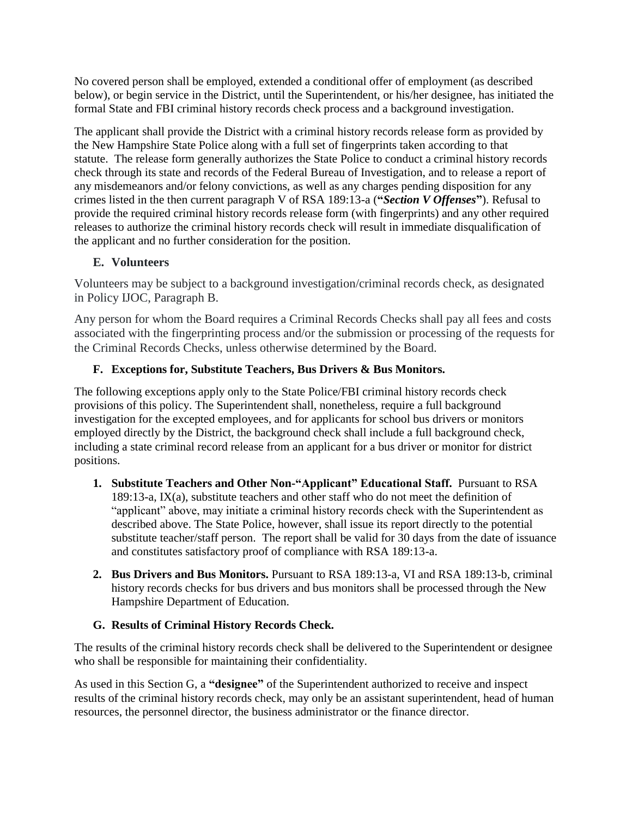No covered person shall be employed, extended a conditional offer of employment (as described below), or begin service in the District, until the Superintendent, or his/her designee, has initiated the formal State and FBI criminal history records check process and a background investigation.

The applicant shall provide the District with a criminal history records release form as provided by the New Hampshire State Police along with a full set of fingerprints taken according to that statute. The release form generally authorizes the State Police to conduct a criminal history records check through its state and records of the Federal Bureau of Investigation, and to release a report of any misdemeanors and/or felony convictions, as well as any charges pending disposition for any crimes listed in the then current paragraph V of RSA 189:13-a (**"***Section V Offenses***"**). Refusal to provide the required criminal history records release form (with fingerprints) and any other required releases to authorize the criminal history records check will result in immediate disqualification of the applicant and no further consideration for the position.

### **E. Volunteers**

Volunteers may be subject to a background investigation/criminal records check, as designated in Policy IJOC, Paragraph B.

Any person for whom the Board requires a Criminal Records Checks shall pay all fees and costs associated with the fingerprinting process and/or the submission or processing of the requests for the Criminal Records Checks, unless otherwise determined by the Board.

## **F. Exceptions for, Substitute Teachers, Bus Drivers & Bus Monitors.**

The following exceptions apply only to the State Police/FBI criminal history records check provisions of this policy. The Superintendent shall, nonetheless, require a full background investigation for the excepted employees, and for applicants for school bus drivers or monitors employed directly by the District, the background check shall include a full background check, including a state criminal record release from an applicant for a bus driver or monitor for district positions.

- **1. Substitute Teachers and Other Non-"Applicant" Educational Staff.** Pursuant to RSA 189:13-a, IX(a), substitute teachers and other staff who do not meet the definition of "applicant" above, may initiate a criminal history records check with the Superintendent as described above. The State Police, however, shall issue its report directly to the potential substitute teacher/staff person. The report shall be valid for 30 days from the date of issuance and constitutes satisfactory proof of compliance with RSA 189:13-a.
- **2. Bus Drivers and Bus Monitors.** Pursuant to RSA 189:13-a, VI and RSA 189:13-b, criminal history records checks for bus drivers and bus monitors shall be processed through the New Hampshire Department of Education.

## **G. Results of Criminal History Records Check.**

The results of the criminal history records check shall be delivered to the Superintendent or designee who shall be responsible for maintaining their confidentiality.

As used in this Section G, a **"designee"** of the Superintendent authorized to receive and inspect results of the criminal history records check, may only be an assistant superintendent, head of human resources, the personnel director, the business administrator or the finance director.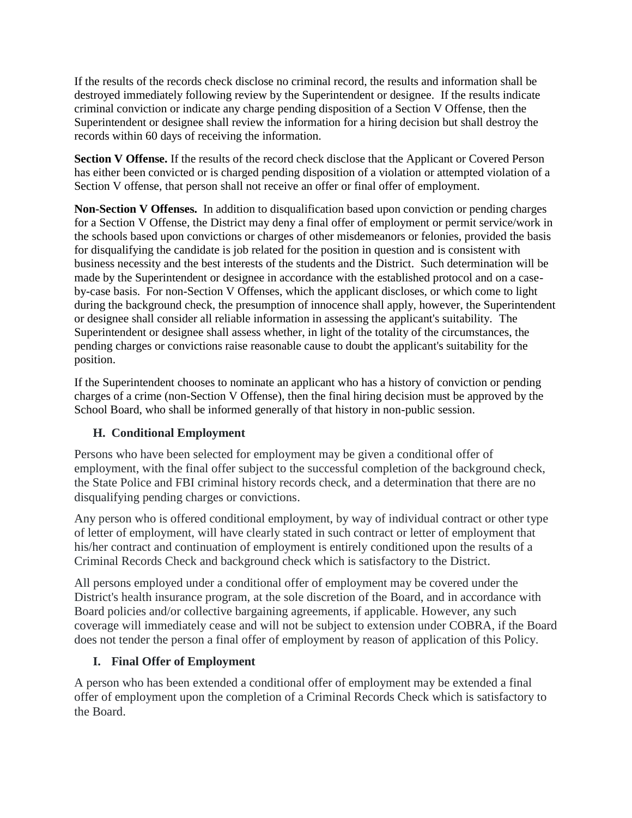If the results of the records check disclose no criminal record, the results and information shall be destroyed immediately following review by the Superintendent or designee. If the results indicate criminal conviction or indicate any charge pending disposition of a Section V Offense, then the Superintendent or designee shall review the information for a hiring decision but shall destroy the records within 60 days of receiving the information.

**Section V Offense.** If the results of the record check disclose that the Applicant or Covered Person has either been convicted or is charged pending disposition of a violation or attempted violation of a Section V offense, that person shall not receive an offer or final offer of employment.

**Non-Section V Offenses.** In addition to disqualification based upon conviction or pending charges for a Section V Offense, the District may deny a final offer of employment or permit service/work in the schools based upon convictions or charges of other misdemeanors or felonies, provided the basis for disqualifying the candidate is job related for the position in question and is consistent with business necessity and the best interests of the students and the District. Such determination will be made by the Superintendent or designee in accordance with the established protocol and on a caseby-case basis. For non-Section V Offenses, which the applicant discloses, or which come to light during the background check, the presumption of innocence shall apply, however, the Superintendent or designee shall consider all reliable information in assessing the applicant's suitability. The Superintendent or designee shall assess whether, in light of the totality of the circumstances, the pending charges or convictions raise reasonable cause to doubt the applicant's suitability for the position.

If the Superintendent chooses to nominate an applicant who has a history of conviction or pending charges of a crime (non-Section V Offense), then the final hiring decision must be approved by the School Board, who shall be informed generally of that history in non-public session.

#### **H. Conditional Employment**

Persons who have been selected for employment may be given a conditional offer of employment, with the final offer subject to the successful completion of the background check, the State Police and FBI criminal history records check, and a determination that there are no disqualifying pending charges or convictions.

Any person who is offered conditional employment, by way of individual contract or other type of letter of employment, will have clearly stated in such contract or letter of employment that his/her contract and continuation of employment is entirely conditioned upon the results of a Criminal Records Check and background check which is satisfactory to the District.

All persons employed under a conditional offer of employment may be covered under the District's health insurance program, at the sole discretion of the Board, and in accordance with Board policies and/or collective bargaining agreements, if applicable. However, any such coverage will immediately cease and will not be subject to extension under COBRA, if the Board does not tender the person a final offer of employment by reason of application of this Policy.

#### **I. Final Offer of Employment**

A person who has been extended a conditional offer of employment may be extended a final offer of employment upon the completion of a Criminal Records Check which is satisfactory to the Board.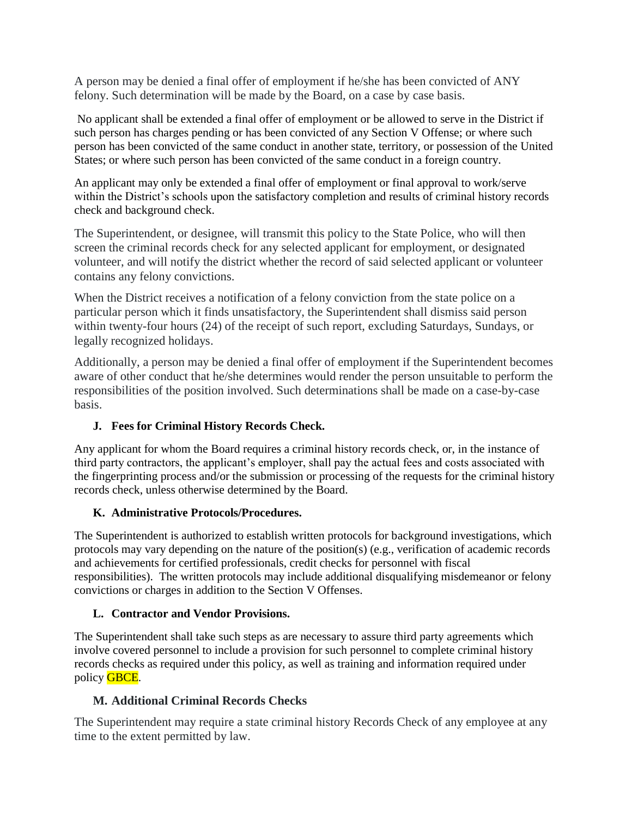A person may be denied a final offer of employment if he/she has been convicted of ANY felony. Such determination will be made by the Board, on a case by case basis.

No applicant shall be extended a final offer of employment or be allowed to serve in the District if such person has charges pending or has been convicted of any Section V Offense; or where such person has been convicted of the same conduct in another state, territory, or possession of the United States; or where such person has been convicted of the same conduct in a foreign country.

An applicant may only be extended a final offer of employment or final approval to work/serve within the District's schools upon the satisfactory completion and results of criminal history records check and background check.

The Superintendent, or designee, will transmit this policy to the State Police, who will then screen the criminal records check for any selected applicant for employment, or designated volunteer, and will notify the district whether the record of said selected applicant or volunteer contains any felony convictions.

When the District receives a notification of a felony conviction from the state police on a particular person which it finds unsatisfactory, the Superintendent shall dismiss said person within twenty-four hours (24) of the receipt of such report, excluding Saturdays, Sundays, or legally recognized holidays.

Additionally, a person may be denied a final offer of employment if the Superintendent becomes aware of other conduct that he/she determines would render the person unsuitable to perform the responsibilities of the position involved. Such determinations shall be made on a case-by-case basis.

## **J. Fees for Criminal History Records Check.**

Any applicant for whom the Board requires a criminal history records check, or, in the instance of third party contractors, the applicant's employer, shall pay the actual fees and costs associated with the fingerprinting process and/or the submission or processing of the requests for the criminal history records check, unless otherwise determined by the Board.

#### **K. Administrative Protocols/Procedures.**

The Superintendent is authorized to establish written protocols for background investigations, which protocols may vary depending on the nature of the position(s) (e.g., verification of academic records and achievements for certified professionals, credit checks for personnel with fiscal responsibilities). The written protocols may include additional disqualifying misdemeanor or felony convictions or charges in addition to the Section V Offenses.

#### **L. Contractor and Vendor Provisions.**

The Superintendent shall take such steps as are necessary to assure third party agreements which involve covered personnel to include a provision for such personnel to complete criminal history records checks as required under this policy, as well as training and information required under policy GBCE*.*

## **M. Additional Criminal Records Checks**

The Superintendent may require a state criminal history Records Check of any employee at any time to the extent permitted by law.